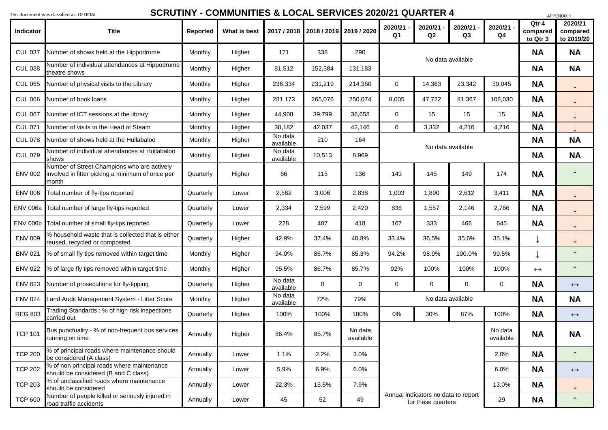|                  | nis document was classified as: OFFICIAL                                                                  |                 |              |                      |                                     |                      |                                                                                          |               |               |                           |                               | APPENDIX 1                        |
|------------------|-----------------------------------------------------------------------------------------------------------|-----------------|--------------|----------------------|-------------------------------------|----------------------|------------------------------------------------------------------------------------------|---------------|---------------|---------------------------|-------------------------------|-----------------------------------|
| <b>Indicator</b> | <b>Title</b>                                                                                              | <b>Reported</b> | What is best |                      | 2017 / 2018 2018 / 2019 2019 / 2020 |                      | 2020/21<br>Q <sub>1</sub>                                                                | 2020/21<br>Q2 | 2020/21<br>Q3 | 2020/21<br>Q <sub>4</sub> | Qtr 4<br>compared<br>to Qtr 3 | 2020/21<br>compared<br>to 2019/20 |
| <b>CUL 037</b>   | Number of shows held at the Hippodrome                                                                    | Monthly         | Higher       | 171                  | 338                                 | 290                  | No data available                                                                        |               |               |                           | <b>NA</b>                     | <b>NA</b>                         |
| <b>CUL 038</b>   | Number of individual attendances at Hippodrome<br>theatre shows                                           | <b>Monthly</b>  | Higher       | 81,512               | 152,584                             | 131,183              |                                                                                          |               |               |                           | <b>NA</b>                     | <b>NA</b>                         |
| <b>CUL 065</b>   | Number of physical visits to the Library                                                                  | Monthly         | Higher       | 236,334              | 231,219                             | 214,360              | 14,363<br>23,342<br>$\overline{0}$                                                       |               |               | 39,045                    | <b>NA</b>                     |                                   |
| <b>CUL 066</b>   | Number of book loans                                                                                      | <b>Monthly</b>  | Higher       | 281,173              | 265,076                             | 250,074              | 8,005                                                                                    | 47,722        | 81,367        | 108,030                   | <b>NA</b>                     |                                   |
| <b>CUL 067</b>   | Number of ICT sessions at the library                                                                     | <b>Monthly</b>  | Higher       | 44,908               | 39,799                              | 36,658               | $\mathbf 0$                                                                              | 15            | 15            | 15                        | <b>NA</b>                     |                                   |
| <b>CUL 071</b>   | Number of visits to the Head of Steam                                                                     | <b>Monthly</b>  | Higher       | 38,182               | 42,037                              | 42,146               | $\overline{0}$                                                                           | 3,332         | 4,216         | 4,216                     | <b>NA</b>                     |                                   |
| <b>CUL 078</b>   | Number of shows held at the Hullabaloo                                                                    | <b>Monthly</b>  | Higher       | No data<br>available | 210                                 | 164                  | No data available                                                                        |               |               |                           | <b>NA</b>                     | <b>NA</b>                         |
| <b>CUL 079</b>   | Number of individual attendances at Hullabaloo<br>shows                                                   | <b>Monthly</b>  | Higher       | No data<br>available | 10,513                              | 8,969                |                                                                                          |               |               |                           | <b>NA</b>                     | <b>NA</b>                         |
| <b>ENV 002</b>   | Number of Street Champions who are actively<br>involved in litter picking a minimum of once per<br> month | Quarterly       | Higher       | 66                   | 115                                 | 136                  | 143                                                                                      | 145           | 149           | 174                       | <b>NA</b>                     |                                   |
| <b>ENV 006</b>   | Total number of fly-tips reported                                                                         | Quarterly       | Lower        | 2,562                | 3,006                               | 2,838                | 1,003                                                                                    | 1,890         | 2,612         | 3,411                     | <b>NA</b>                     |                                   |
|                  | ENV 006a Total number of large fly-tips reported                                                          | Quarterly       | Lower        | 2,334                | 2,599                               | 2,420                | 836                                                                                      | 1,557         | 2,146         | 2,766                     | <b>NA</b>                     |                                   |
| <b>ENV 006b</b>  | Total number of small fly-tips reported                                                                   | Quarterly       | Lower        | 228                  | 407                                 | 418                  | 167                                                                                      | 333           | 466           | 645                       | <b>NA</b>                     |                                   |
| <b>ENV 009</b>   | % household waste that is collected that is either<br>reused, recycled or composted                       | Quarterly       | Higher       | 42.9%                | 37.4%                               | 40.8%                | 33.4%                                                                                    | 36.5%         | 35.6%         | 35.1%                     |                               |                                   |
| <b>ENV 021</b>   | % of small fly tips removed within target time                                                            | <b>Monthly</b>  | Higher       | 94.0%                | 86.7%                               | 85.3%                | 94.2%                                                                                    | 98.9%         | 100.0%        | 99.5%                     |                               |                                   |
| <b>ENV 022</b>   | % of large fly tips removed within target time                                                            | <b>Monthly</b>  | Higher       | 95.5%                | 86.7%                               | 85.7%                | 92%                                                                                      | 100%          | 100%          | 100%                      | $\leftrightarrow$             |                                   |
| <b>ENV 023</b>   | Number of prosecutions for fly-tipping                                                                    | Quarterly       | Higher       | No data<br>available | $\overline{0}$                      | $\overline{0}$       | $\mathbf 0$                                                                              | $\mathbf 0$   | $\mathbf 0$   | $\overline{0}$            | <b>NA</b>                     | $\leftrightarrow$                 |
| <b>ENV 024</b>   | and Audit Management System - Litter Score                                                                | <b>Monthly</b>  | Higher       | No data<br>available | 72%                                 | 79%                  | No data available                                                                        |               |               |                           | <b>NA</b>                     | <b>NA</b>                         |
| <b>REG 803</b>   | Frading Standards: % of high risk inspections<br>carried out                                              | Quarterly       | Higher       | 100%                 | 100%                                | 100%                 | 0%                                                                                       | 30%           | 87%           | 100%                      | <b>NA</b>                     | $\leftrightarrow$                 |
| <b>TCP 101</b>   | Bus punctuality - % of non-frequent bus services<br>running on time                                       | Annually        | Higher       | 86.4%                | 85.7%                               | No data<br>available |                                                                                          |               |               | No data<br>available      | <b>NA</b>                     | <b>NA</b>                         |
| <b>TCP 200</b>   | % of principal roads where maintenance should<br>be considered (A class)                                  | Annually        | Lower        | 1.1%                 | 2.2%                                | 3.0%                 | 2.0%<br>6.0%<br>13.0%<br>Annual indicators no data to report<br>29<br>for these quarters |               |               |                           | <b>NA</b>                     |                                   |
| <b>TCP 202</b>   | % of non principal roads where maintenance<br>should be considered (B and C class)                        | Annually        | Lower        | 5.9%                 | 6.9%                                | 6.0%                 |                                                                                          |               |               |                           | <b>NA</b>                     | $\leftrightarrow$                 |
| <b>TCP 203</b>   | % of unclassified roads where maintenance<br>should be considered                                         | Annually        | Lower        | 22.3%                | 15.5%                               | 7.9%                 |                                                                                          |               |               |                           | <b>NA</b>                     |                                   |
| <b>TCP 600</b>   | Number of people killed or seriously injured in<br>road traffic accidents                                 | Annually        | Lower        | 45                   | 52                                  | 49                   |                                                                                          |               |               |                           | <b>NA</b>                     |                                   |

## **SCRUTINY - COMMUNITIES & LOCAL SERVICES 2020/21 QUARTER 4**